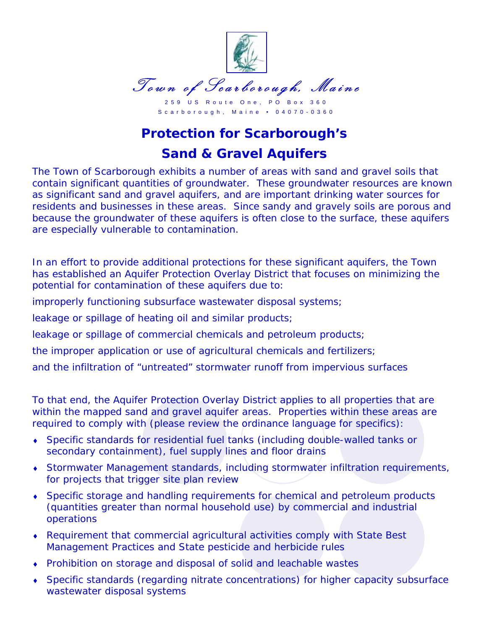

# **Protection for Scarborough's**

# **Sand & Gravel Aquifers**

*The Town of Scarborough exhibits a number of areas with sand and gravel soils that contain significant quantities of groundwater. These groundwater resources are known as significant sand and gravel aquifers, and are important drinking water sources for residents and businesses in these areas. Since sandy and gravely soils are porous and because the groundwater of these aquifers is often close to the surface, these aquifers are especially vulnerable to contamination.* 

*In an effort to provide additional protections for these significant aquifers, the Town has established an Aquifer Protection Overlay District that focuses on minimizing the potential for contamination of these aquifers due to:* 

*improperly functioning subsurface wastewater disposal systems;* 

*leakage or spillage of heating oil and similar products;* 

*leakage or spillage of commercial chemicals and petroleum products;* 

*the improper application or use of agricultural chemicals and fertilizers;* 

*and the infiltration of "untreated" stormwater runoff from impervious surfaces* 

*To that end, the Aquifer Protection Overlay District applies to all properties that are within the mapped sand and gravel aquifer areas. Properties within these areas are required to comply with (please review the ordinance language for specifics):* 

- ♦ *Specific standards for residential fuel tanks (including double-walled tanks or secondary containment), fuel supply lines and floor drains*
- ♦ *Stormwater Management standards, including stormwater infiltration requirements, for projects that trigger site plan review*
- ♦ *Specific storage and handling requirements for chemical and petroleum products (quantities greater than normal household use) by commercial and industrial operations*
- ♦ *Requirement that commercial agricultural activities comply with State Best Management Practices and State pesticide and herbicide rules*
- ♦ *Prohibition on storage and disposal of solid and leachable wastes*
- ♦ *Specific standards (regarding nitrate concentrations) for higher capacity subsurface wastewater disposal systems*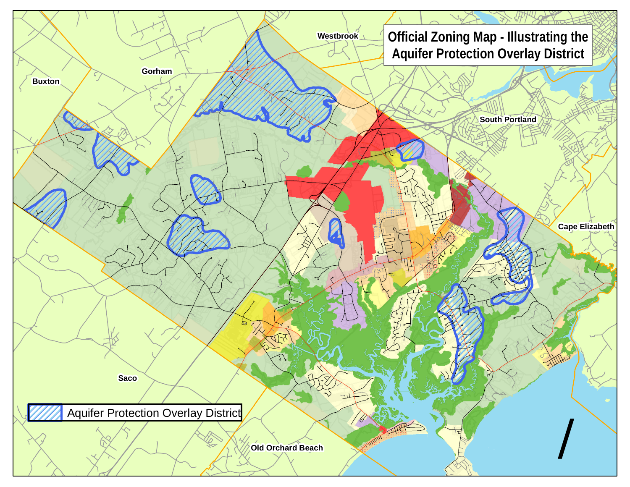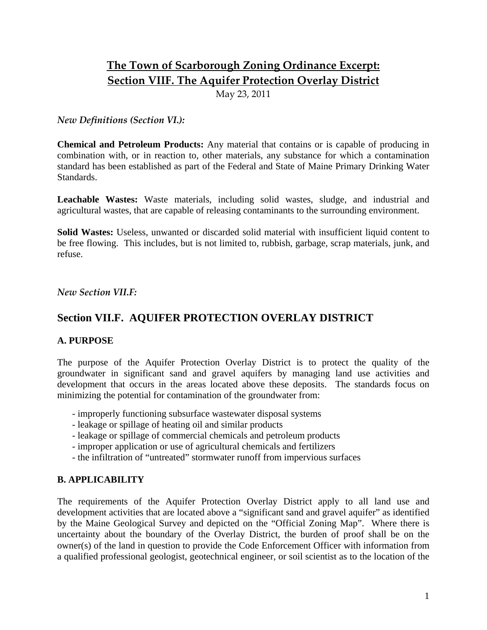# **The Town of Scarborough Zoning Ordinance Excerpt: Section VIIF. The Aquifer Protection Overlay District**

May 23, 2011

## *New Definitions (Section VI.):*

**Chemical and Petroleum Products:** Any material that contains or is capable of producing in combination with, or in reaction to, other materials, any substance for which a contamination standard has been established as part of the Federal and State of Maine Primary Drinking Water Standards.

**Leachable Wastes:** Waste materials, including solid wastes, sludge, and industrial and agricultural wastes, that are capable of releasing contaminants to the surrounding environment.

**Solid Wastes:** Useless, unwanted or discarded solid material with insufficient liquid content to be free flowing. This includes, but is not limited to, rubbish, garbage, scrap materials, junk, and refuse.

*New Section VII.F:*

# **Section VII.F. AQUIFER PROTECTION OVERLAY DISTRICT**

### **A. PURPOSE**

The purpose of the Aquifer Protection Overlay District is to protect the quality of the groundwater in significant sand and gravel aquifers by managing land use activities and development that occurs in the areas located above these deposits. The standards focus on minimizing the potential for contamination of the groundwater from:

- improperly functioning subsurface wastewater disposal systems
- leakage or spillage of heating oil and similar products
- leakage or spillage of commercial chemicals and petroleum products
- improper application or use of agricultural chemicals and fertilizers
- the infiltration of "untreated" stormwater runoff from impervious surfaces

### **B. APPLICABILITY**

The requirements of the Aquifer Protection Overlay District apply to all land use and development activities that are located above a "significant sand and gravel aquifer" as identified by the Maine Geological Survey and depicted on the "Official Zoning Map". Where there is uncertainty about the boundary of the Overlay District, the burden of proof shall be on the owner(s) of the land in question to provide the Code Enforcement Officer with information from a qualified professional geologist, geotechnical engineer, or soil scientist as to the location of the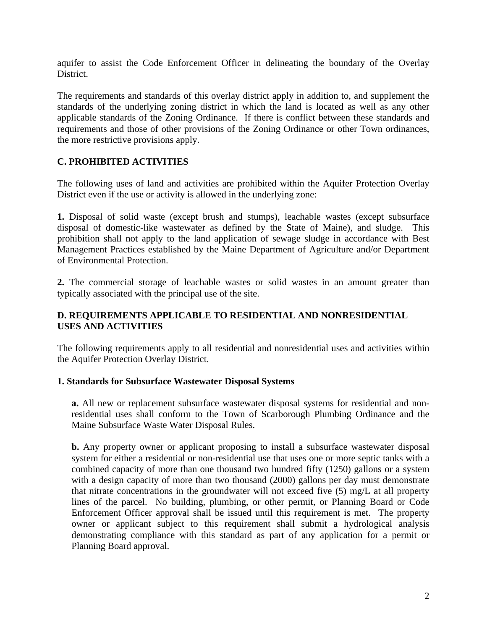aquifer to assist the Code Enforcement Officer in delineating the boundary of the Overlay District.

The requirements and standards of this overlay district apply in addition to, and supplement the standards of the underlying zoning district in which the land is located as well as any other applicable standards of the Zoning Ordinance. If there is conflict between these standards and requirements and those of other provisions of the Zoning Ordinance or other Town ordinances, the more restrictive provisions apply.

## **C. PROHIBITED ACTIVITIES**

The following uses of land and activities are prohibited within the Aquifer Protection Overlay District even if the use or activity is allowed in the underlying zone:

**1.** Disposal of solid waste (except brush and stumps), leachable wastes (except subsurface disposal of domestic-like wastewater as defined by the State of Maine), and sludge. This prohibition shall not apply to the land application of sewage sludge in accordance with Best Management Practices established by the Maine Department of Agriculture and/or Department of Environmental Protection.

**2.** The commercial storage of leachable wastes or solid wastes in an amount greater than typically associated with the principal use of the site.

### **D. REQUIREMENTS APPLICABLE TO RESIDENTIAL AND NONRESIDENTIAL USES AND ACTIVITIES**

The following requirements apply to all residential and nonresidential uses and activities within the Aquifer Protection Overlay District.

#### **1. Standards for Subsurface Wastewater Disposal Systems**

**a.** All new or replacement subsurface wastewater disposal systems for residential and nonresidential uses shall conform to the Town of Scarborough Plumbing Ordinance and the Maine Subsurface Waste Water Disposal Rules.

**b.** Any property owner or applicant proposing to install a subsurface wastewater disposal system for either a residential or non-residential use that uses one or more septic tanks with a combined capacity of more than one thousand two hundred fifty (1250) gallons or a system with a design capacity of more than two thousand (2000) gallons per day must demonstrate that nitrate concentrations in the groundwater will not exceed five (5) mg/L at all property lines of the parcel. No building, plumbing, or other permit, or Planning Board or Code Enforcement Officer approval shall be issued until this requirement is met. The property owner or applicant subject to this requirement shall submit a hydrological analysis demonstrating compliance with this standard as part of any application for a permit or Planning Board approval.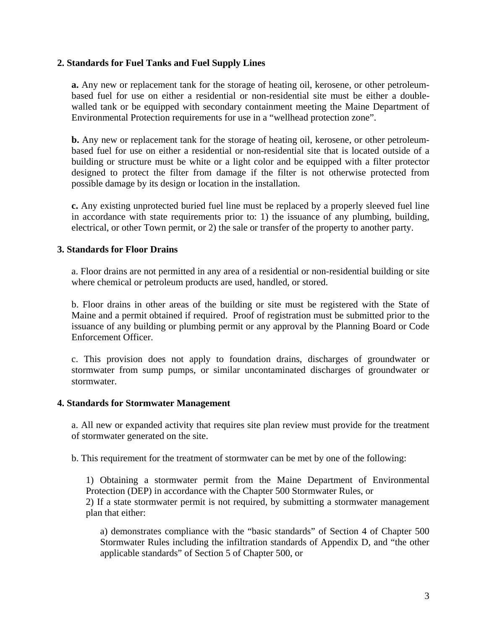#### **2. Standards for Fuel Tanks and Fuel Supply Lines**

**a.** Any new or replacement tank for the storage of heating oil, kerosene, or other petroleumbased fuel for use on either a residential or non-residential site must be either a doublewalled tank or be equipped with secondary containment meeting the Maine Department of Environmental Protection requirements for use in a "wellhead protection zone".

**b.** Any new or replacement tank for the storage of heating oil, kerosene, or other petroleumbased fuel for use on either a residential or non-residential site that is located outside of a building or structure must be white or a light color and be equipped with a filter protector designed to protect the filter from damage if the filter is not otherwise protected from possible damage by its design or location in the installation.

**c.** Any existing unprotected buried fuel line must be replaced by a properly sleeved fuel line in accordance with state requirements prior to: 1) the issuance of any plumbing, building, electrical, or other Town permit, or 2) the sale or transfer of the property to another party.

#### **3. Standards for Floor Drains**

a. Floor drains are not permitted in any area of a residential or non-residential building or site where chemical or petroleum products are used, handled, or stored.

b. Floor drains in other areas of the building or site must be registered with the State of Maine and a permit obtained if required. Proof of registration must be submitted prior to the issuance of any building or plumbing permit or any approval by the Planning Board or Code Enforcement Officer.

c. This provision does not apply to foundation drains, discharges of groundwater or stormwater from sump pumps, or similar uncontaminated discharges of groundwater or stormwater.

#### **4. Standards for Stormwater Management**

a. All new or expanded activity that requires site plan review must provide for the treatment of stormwater generated on the site.

b. This requirement for the treatment of stormwater can be met by one of the following:

1) Obtaining a stormwater permit from the Maine Department of Environmental Protection (DEP) in accordance with the Chapter 500 Stormwater Rules, or

2) If a state stormwater permit is not required, by submitting a stormwater management plan that either:

a) demonstrates compliance with the "basic standards" of Section 4 of Chapter 500 Stormwater Rules including the infiltration standards of Appendix D, and "the other applicable standards" of Section 5 of Chapter 500, or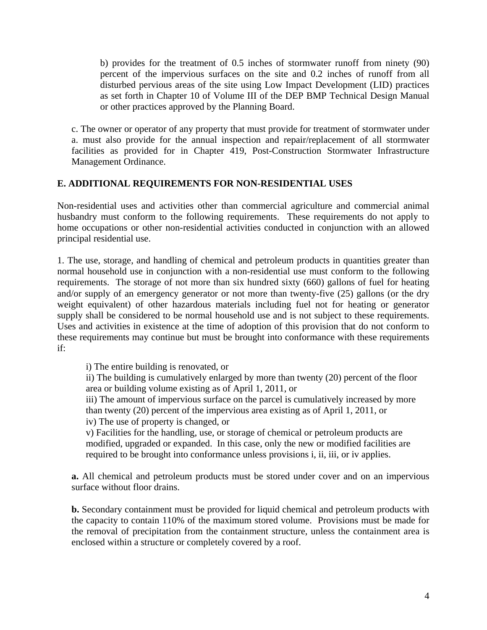b) provides for the treatment of 0.5 inches of stormwater runoff from ninety (90) percent of the impervious surfaces on the site and 0.2 inches of runoff from all disturbed pervious areas of the site using Low Impact Development (LID) practices as set forth in Chapter 10 of Volume III of the DEP BMP Technical Design Manual or other practices approved by the Planning Board.

c. The owner or operator of any property that must provide for treatment of stormwater under a. must also provide for the annual inspection and repair/replacement of all stormwater facilities as provided for in Chapter 419, Post-Construction Stormwater Infrastructure Management Ordinance.

### **E. ADDITIONAL REQUIREMENTS FOR NON-RESIDENTIAL USES**

Non-residential uses and activities other than commercial agriculture and commercial animal husbandry must conform to the following requirements. These requirements do not apply to home occupations or other non-residential activities conducted in conjunction with an allowed principal residential use.

1. The use, storage, and handling of chemical and petroleum products in quantities greater than normal household use in conjunction with a non-residential use must conform to the following requirements. The storage of not more than six hundred sixty (660) gallons of fuel for heating and/or supply of an emergency generator or not more than twenty-five (25) gallons (or the dry weight equivalent) of other hazardous materials including fuel not for heating or generator supply shall be considered to be normal household use and is not subject to these requirements. Uses and activities in existence at the time of adoption of this provision that do not conform to these requirements may continue but must be brought into conformance with these requirements if:

i) The entire building is renovated, or

ii) The building is cumulatively enlarged by more than twenty (20) percent of the floor area or building volume existing as of April 1, 2011, or

iii) The amount of impervious surface on the parcel is cumulatively increased by more than twenty (20) percent of the impervious area existing as of April 1, 2011, or

iv) The use of property is changed, or

v) Facilities for the handling, use, or storage of chemical or petroleum products are modified, upgraded or expanded. In this case, only the new or modified facilities are required to be brought into conformance unless provisions i, ii, iii, or iv applies.

**a.** All chemical and petroleum products must be stored under cover and on an impervious surface without floor drains.

**b.** Secondary containment must be provided for liquid chemical and petroleum products with the capacity to contain 110% of the maximum stored volume. Provisions must be made for the removal of precipitation from the containment structure, unless the containment area is enclosed within a structure or completely covered by a roof.